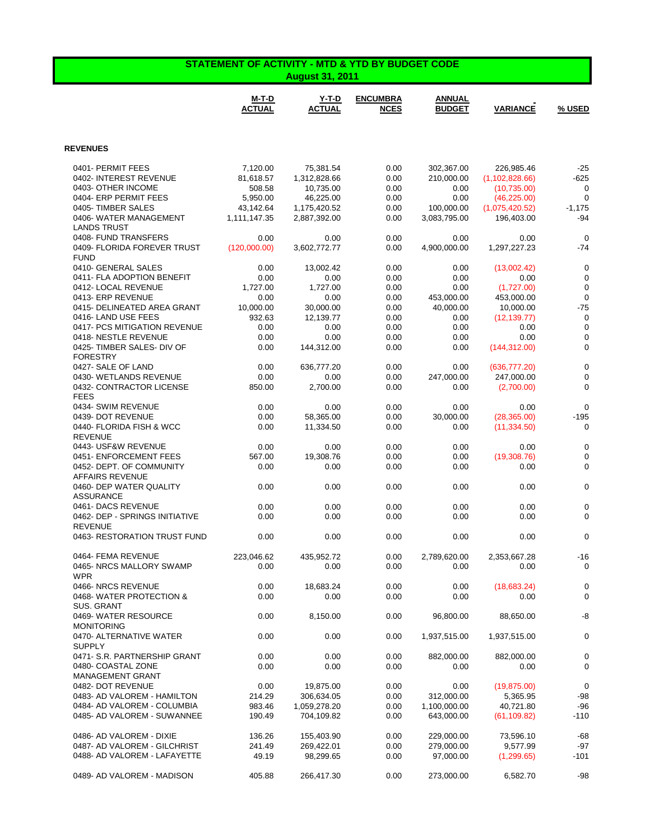| <b>STATEMENT OF ACTIVITY - MTD &amp; YTD BY BUDGET CODE</b><br><b>August 31, 2011</b> |                           |                                |                                |                                 |                            |  |
|---------------------------------------------------------------------------------------|---------------------------|--------------------------------|--------------------------------|---------------------------------|----------------------------|--|
| <b>M-T-D</b><br><b>ACTUAL</b>                                                         | Y-T-D<br><b>ACTUAL</b>    | <b>ENCUMBRA</b><br><b>NCES</b> | <b>ANNUAL</b><br><b>BUDGET</b> | <b>VARIANCE</b>                 | % USED                     |  |
| <b>REVENUES</b>                                                                       |                           |                                |                                |                                 |                            |  |
|                                                                                       |                           |                                |                                |                                 |                            |  |
| 0401- PERMIT FEES<br>7,120.00                                                         | 75,381.54                 | 0.00                           | 302,367.00                     | 226,985.46                      | $-25$                      |  |
| 0402- INTEREST REVENUE<br>81,618.57<br>0403- OTHER INCOME<br>508.58                   | 1,312,828.66<br>10,735.00 | 0.00<br>0.00                   | 210,000.00<br>0.00             | (1, 102, 828.66)<br>(10,735.00) | $-625$<br>0                |  |
| 0404- ERP PERMIT FEES<br>5,950.00                                                     | 46,225.00                 | 0.00                           | 0.00                           | (46, 225.00)                    | $\mathbf 0$                |  |
| 0405-TIMBER SALES<br>43,142.64                                                        | 1,175,420.52              | 0.00                           | 100,000.00                     | (1,075,420.52)                  | $-1,175$                   |  |
| 0406-WATER MANAGEMENT<br>1,111,147.35                                                 | 2,887,392.00              | 0.00                           | 3,083,795.00                   | 196,403.00                      | $-94$                      |  |
| <b>LANDS TRUST</b>                                                                    |                           |                                |                                |                                 |                            |  |
| 0408- FUND TRANSFERS<br>0.00                                                          |                           | 0.00<br>0.00                   | 0.00                           | 0.00                            | $\mathbf 0$                |  |
| 0409- FLORIDA FOREVER TRUST<br>(120,000.00)                                           | 3,602,772.77              | 0.00                           | 4,900,000.00                   | 1,297,227.23                    | $-74$                      |  |
| <b>FUND</b><br>0410- GENERAL SALES<br>0.00                                            | 13,002.42                 | 0.00                           | 0.00                           | (13,002.42)                     | $\mathbf 0$                |  |
| 0411- FLA ADOPTION BENEFIT<br>0.00                                                    |                           | 0.00<br>0.00                   | 0.00                           | 0.00                            | $\mathbf 0$                |  |
| 0412- LOCAL REVENUE<br>1.727.00                                                       | 1,727.00                  | 0.00                           | 0.00                           | (1,727.00)                      | $\mathbf 0$                |  |
| 0413- ERP REVENUE<br>0.00                                                             |                           | 0.00<br>0.00                   | 453,000.00                     | 453,000.00                      | $\mathbf 0$                |  |
| 0415- DELINEATED AREA GRANT<br>10,000.00                                              | 30,000.00                 | 0.00                           | 40,000.00                      | 10,000.00                       | $-75$                      |  |
| 0416-LAND USE FEES<br>932.63                                                          | 12,139.77                 | 0.00                           | 0.00                           | (12, 139.77)                    | $\mathbf 0$                |  |
| 0417- PCS MITIGATION REVENUE<br>0.00                                                  |                           | 0.00<br>0.00                   | 0.00                           | 0.00                            | $\mathbf 0$                |  |
| 0418- NESTLE REVENUE<br>0.00<br>0425- TIMBER SALES- DIV OF<br>0.00                    | 144,312.00                | 0.00<br>0.00<br>0.00           | 0.00<br>0.00                   | 0.00<br>(144, 312.00)           | $\mathbf 0$<br>$\mathbf 0$ |  |
| <b>FORESTRY</b>                                                                       |                           |                                |                                |                                 |                            |  |
| 0427- SALE OF LAND<br>0.00                                                            | 636,777.20                | 0.00                           | 0.00                           | (636, 777.20)                   | $\mathbf 0$                |  |
| 0430- WETLANDS REVENUE<br>0.00                                                        |                           | 0.00<br>0.00                   | 247,000.00                     | 247,000.00                      | $\mathbf 0$                |  |
| 0432- CONTRACTOR LICENSE<br>850.00                                                    | 2,700.00                  | 0.00                           | 0.00                           | (2,700.00)                      | $\mathbf 0$                |  |
| <b>FEES</b>                                                                           |                           |                                |                                |                                 |                            |  |
| 0434- SWIM REVENUE<br>0.00                                                            |                           | 0.00<br>0.00                   | 0.00                           | 0.00                            | $\mathbf 0$                |  |
| 0439- DOT REVENUE<br>0.00<br>0440- FLORIDA FISH & WCC<br>0.00                         | 58,365.00<br>11,334.50    | 0.00<br>0.00                   | 30,000.00<br>0.00              | (28, 365.00)<br>(11, 334.50)    | $-195$<br>0                |  |
| <b>REVENUE</b>                                                                        |                           |                                |                                |                                 |                            |  |
| 0443- USF&W REVENUE<br>0.00                                                           |                           | 0.00<br>0.00                   | 0.00                           | 0.00                            | $\mathbf 0$                |  |
| 0451- ENFORCEMENT FEES<br>567.00                                                      | 19,308.76                 | 0.00                           | 0.00                           | (19,308.76)                     | $\mathbf 0$                |  |
| 0452- DEPT. OF COMMUNITY<br>0.00<br><b>AFFAIRS REVENUE</b>                            |                           | 0.00<br>0.00                   | 0.00                           | 0.00                            | $\mathbf 0$                |  |
| 0460- DEP WATER QUALITY<br>0.00<br><b>ASSURANCE</b>                                   |                           | 0.00<br>0.00                   | 0.00                           | 0.00                            | $\mathbf 0$                |  |
| 0461- DACS REVENUE<br>0.00                                                            |                           | 0.00<br>0.00                   | 0.00                           | 0.00                            | $\mathbf 0$                |  |
| 0462- DEP - SPRINGS INITIATIVE<br>0.00                                                |                           | 0.00<br>0.00                   | 0.00                           | 0.00                            | $\mathbf 0$                |  |
| <b>REVENUE</b><br>0463- RESTORATION TRUST FUND<br>0.00                                |                           | 0.00<br>0.00                   | 0.00                           | 0.00                            | $\pmb{0}$                  |  |
|                                                                                       |                           |                                |                                |                                 |                            |  |
| 0464- FEMA REVENUE<br>223,046.62<br>0465- NRCS MALLORY SWAMP                          | 435,952.72<br>0.00        | 0.00<br>0.00<br>0.00           | 2,789,620.00<br>0.00           | 2,353,667.28<br>0.00            | $-16$<br>0                 |  |
| <b>WPR</b>                                                                            |                           |                                |                                |                                 |                            |  |
| 0466-NRCS REVENUE<br>0.00                                                             | 18,683.24                 | 0.00                           | 0.00                           | (18,683.24)                     | $\mathbf 0$                |  |
| 0468-WATER PROTECTION &<br>0.00                                                       |                           | 0.00<br>0.00                   | 0.00                           | 0.00                            | 0                          |  |
| SUS. GRANT                                                                            |                           |                                |                                |                                 |                            |  |
| 0469- WATER RESOURCE<br>0.00<br><b>MONITORING</b>                                     | 8,150.00                  | 0.00                           | 96,800.00                      | 88,650.00                       | -8                         |  |
| 0470- ALTERNATIVE WATER<br>0.00<br><b>SUPPLY</b>                                      |                           | 0.00<br>0.00                   | 1,937,515.00                   | 1,937,515.00                    | 0                          |  |
| 0471- S.R. PARTNERSHIP GRANT<br>0.00                                                  |                           | 0.00<br>0.00                   | 882,000.00                     | 882,000.00                      | $\pmb{0}$                  |  |
| 0480- COASTAL ZONE<br>0.00<br>MANAGEMENT GRANT                                        |                           | 0.00<br>0.00                   | 0.00                           | 0.00                            | 0                          |  |
| 0482- DOT REVENUE<br>0.00                                                             | 19,875.00                 | 0.00                           | 0.00                           | (19, 875.00)                    | $\mathbf 0$                |  |
| 0483- AD VALOREM - HAMILTON<br>214.29                                                 | 306,634.05                | 0.00                           | 312,000.00                     | 5,365.95                        | -98                        |  |
| 0484- AD VALOREM - COLUMBIA<br>983.46                                                 | 1,059,278.20              | 0.00                           | 1,100,000.00                   | 40,721.80                       | $-96$                      |  |
| 0485- AD VALOREM - SUWANNEE<br>190.49                                                 | 704,109.82                | 0.00                           | 643,000.00                     | (61, 109.82)                    | $-110$                     |  |
| 0486- AD VALOREM - DIXIE<br>136.26                                                    | 155,403.90                | 0.00                           | 229,000.00                     | 73,596.10                       | $-68$                      |  |
| 0487- AD VALOREM - GILCHRIST<br>241.49                                                | 269,422.01                | 0.00                           | 279,000.00                     | 9,577.99                        | -97                        |  |
| 0488- AD VALOREM - LAFAYETTE<br>49.19                                                 | 98,299.65                 | 0.00                           | 97,000.00                      | (1,299.65)                      | $-101$                     |  |
| 0489- AD VALOREM - MADISON<br>405.88                                                  | 266,417.30                | 0.00                           | 273,000.00                     | 6,582.70                        | $-98$                      |  |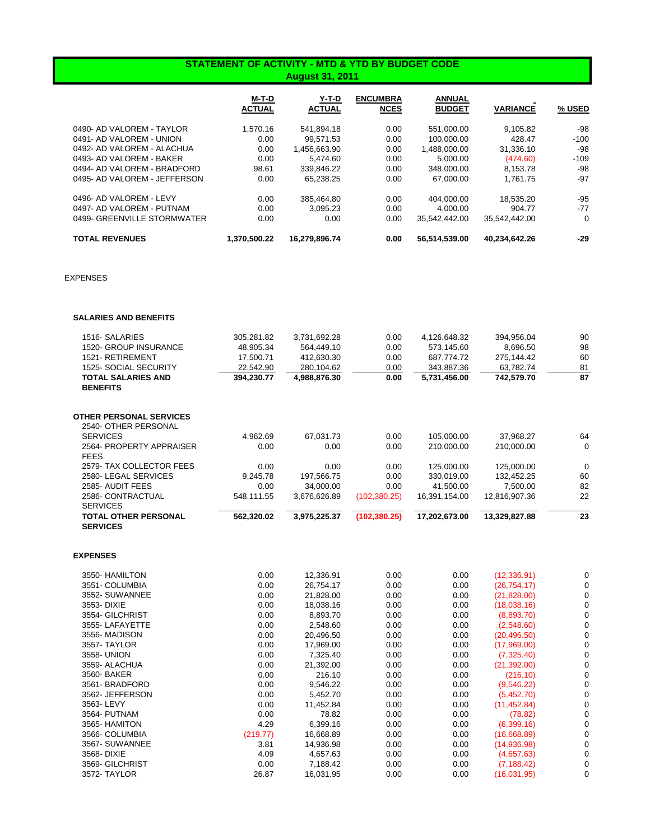## **STATEMENT OF ACTIVITY - MTD & YTD BY BUDGET CODE August 31, 2011**

|                              | M-T-D<br><b>ACTUAL</b> | Y-T-D<br><b>ACTUAL</b> | <b>ENCUMBRA</b><br><b>NCES</b> | <b>ANNUAL</b><br><b>BUDGET</b> | <b>VARIANCE</b> | % USED   |
|------------------------------|------------------------|------------------------|--------------------------------|--------------------------------|-----------------|----------|
| 0490- AD VALOREM - TAYLOR    | 1.570.16               | 541,894.18             | 0.00                           | 551,000.00                     | 9.105.82        | $-98$    |
| 0491- AD VALOREM - UNION     | 0.00                   | 99.571.53              | 0.00                           | 100.000.00                     | 428.47          | $-100$   |
| 0492- AD VALOREM - ALACHUA   | 0.00                   | 1.456.663.90           | 0.00                           | 1.488.000.00                   | 31,336.10       | -98      |
| 0493- AD VALOREM - BAKER     | 0.00                   | 5.474.60               | 0.00                           | 5.000.00                       | (474.60)        | $-109$   |
| 0494- AD VALOREM - BRADFORD  | 98.61                  | 339.846.22             | 0.00                           | 348,000.00                     | 8.153.78        | -98      |
| 0495- AD VALOREM - JEFFERSON | 0.00                   | 65.238.25              | 0.00                           | 67,000.00                      | 1.761.75        | $-97$    |
| 0496- AD VALOREM - LEVY      | 0.00                   | 385.464.80             | 0.00                           | 404.000.00                     | 18.535.20       | $-95$    |
| 0497- AD VALOREM - PUTNAM    | 0.00                   | 3.095.23               | 0.00                           | 4.000.00                       | 904.77          | $-77$    |
| 0499- GREENVILLE STORMWATER  | 0.00                   | 0.00                   | 0.00                           | 35.542.442.00                  | 35.542.442.00   | $\Omega$ |
| <b>TOTAL REVENUES</b>        | 1.370.500.22           | 16.279.896.74          | 0.00                           | 56.514.539.00                  | 40.234.642.26   | $-29$    |

EXPENSES

## **SALARIES AND BENEFITS**

| <b>TOTAL OTHER PERSONAL</b>             | 562,320.02 | 3,975,225.37 | (102, 380.25) | 17,202,673.00 | 13,329,827.88 | 23 |
|-----------------------------------------|------------|--------------|---------------|---------------|---------------|----|
| <b>SERVICES</b>                         |            |              |               |               |               |    |
| 2586- CONTRACTUAL                       | 548,111.55 | 3,676,626.89 | (102, 380.25) | 16,391,154.00 | 12,816,907.36 | 22 |
| 2585- AUDIT FEES                        | 0.00       | 34,000.00    | 0.00          | 41,500.00     | 7,500.00      | 82 |
| 2580-LEGAL SERVICES                     | 9.245.78   | 197,566.75   | 0.00          | 330,019.00    | 132,452.25    | 60 |
| 2579- TAX COLLECTOR FEES                | 0.00       | 0.00         | 0.00          | 125,000.00    | 125,000.00    | 0  |
| 2564- PROPERTY APPRAISER<br><b>FEES</b> | 0.00       | 0.00         | 0.00          | 210.000.00    | 210.000.00    | 0  |
|                                         | 4,962.69   | 67,031.73    | 0.00          | 105,000.00    | 37,968.27     | 64 |
| 2540- OTHER PERSONAL<br><b>SERVICES</b> |            |              |               |               |               |    |
| <b>OTHER PERSONAL SERVICES</b>          |            |              |               |               |               |    |
| <b>BENEFITS</b>                         |            |              |               |               |               |    |
| <b>TOTAL SALARIES AND</b>               | 394,230.77 | 4,988,876.30 | 0.00          | 5,731,456.00  | 742,579.70    | 87 |
| 1525- SOCIAL SECURITY                   | 22,542.90  | 280,104.62   | 0.00          | 343,887.36    | 63,782.74     | 81 |
| 1521- RETIREMENT                        | 17.500.71  | 412,630.30   | 0.00          | 687,774.72    | 275,144.42    | 60 |
| <b>1520- GROUP INSURANCE</b>            | 48,905.34  | 564,449.10   | 0.00          | 573,145.60    | 8,696.50      | 98 |
| 1516- SALARIES                          | 305,281.82 | 3,731,692.28 | 0.00          | 4,126,648.32  | 394,956.04    | 90 |

## **EXPENSES**

| 3550- HAMILTON  | 0.00     | 12,336.91 | 0.00 | 0.00 | (12, 336.91)  | 0 |
|-----------------|----------|-----------|------|------|---------------|---|
| 3551- COLUMBIA  | 0.00     | 26,754.17 | 0.00 | 0.00 | (26, 754, 17) |   |
| 3552- SUWANNEE  | 0.00     | 21,828.00 | 0.00 | 0.00 | (21,828.00)   |   |
| 3553- DIXIE     | 0.00     | 18,038.16 | 0.00 | 0.00 | (18,038.16)   |   |
| 3554- GILCHRIST | 0.00     | 8,893.70  | 0.00 | 0.00 | (8,893.70)    |   |
| 3555-LAFAYETTE  | 0.00     | 2,548.60  | 0.00 | 0.00 | (2,548.60)    |   |
| 3556- MADISON   | 0.00     | 20,496.50 | 0.00 | 0.00 | (20, 496.50)  |   |
| 3557- TAYLOR    | 0.00     | 17,969.00 | 0.00 | 0.00 | (17,969.00)   |   |
| 3558- UNION     | 0.00     | 7,325.40  | 0.00 | 0.00 | (7,325.40)    |   |
| 3559- ALACHUA   | 0.00     | 21,392.00 | 0.00 | 0.00 | (21, 392.00)  |   |
| 3560- BAKER     | 0.00     | 216.10    | 0.00 | 0.00 | (216.10)      |   |
| 3561- BRADFORD  | 0.00     | 9,546.22  | 0.00 | 0.00 | (9,546.22)    |   |
| 3562- JEFFERSON | 0.00     | 5,452.70  | 0.00 | 0.00 | (5,452.70)    |   |
| 3563-LEVY       | 0.00     | 11,452.84 | 0.00 | 0.00 | (11, 452.84)  |   |
| 3564- PUTNAM    | 0.00     | 78.82     | 0.00 | 0.00 | (78.82)       |   |
| 3565- HAMITON   | 4.29     | 6,399.16  | 0.00 | 0.00 | (6,399.16)    |   |
| 3566- COLUMBIA  | (219.77) | 16,668.89 | 0.00 | 0.00 | (16,668.89)   |   |
| 3567- SUWANNEE  | 3.81     | 14,936.98 | 0.00 | 0.00 | (14,936.98)   |   |
| 3568- DIXIE     | 4.09     | 4,657.63  | 0.00 | 0.00 | (4,657.63)    |   |
| 3569- GILCHRIST | 0.00     | 7,188.42  | 0.00 | 0.00 | (7, 188.42)   |   |
| 3572- TAYLOR    | 26.87    | 16,031.95 | 0.00 | 0.00 | (16,031.95)   |   |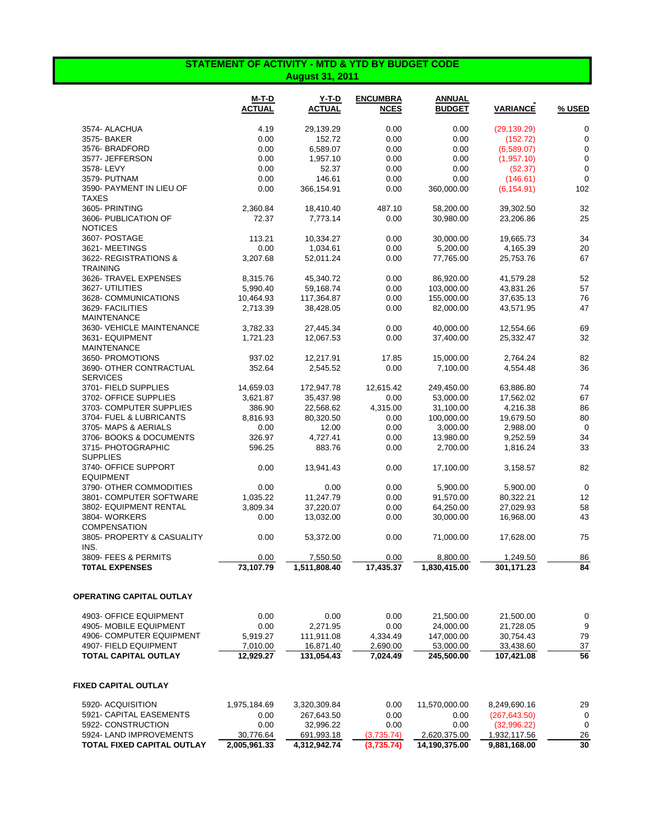## **STATEMENT OF ACTIVITY - MTD & YTD BY BUDGET CODE August 31, 2011**

|                                            | M-T-D<br><b>ACTUAL</b> | Y-T-D<br><b>ACTUAL</b> | <b>ENCUMBRA</b><br><b>NCES</b> | ANNUAL<br><b>BUDGET</b> | <b>VARIANCE</b> | % USED      |
|--------------------------------------------|------------------------|------------------------|--------------------------------|-------------------------|-----------------|-------------|
| 3574- ALACHUA                              | 4.19                   | 29,139.29              | 0.00                           | 0.00                    | (29, 139.29)    | $\mathbf 0$ |
| 3575- BAKER                                | 0.00                   | 152.72                 | 0.00                           | 0.00                    | (152.72)        | $\mathbf 0$ |
| 3576- BRADFORD                             | 0.00                   | 6,589.07               | 0.00                           | 0.00                    | (6,589.07)      | 0           |
| 3577- JEFFERSON                            | 0.00                   | 1,957.10               | 0.00                           | 0.00                    | (1,957.10)      | $\mathbf 0$ |
| 3578-LEVY                                  | 0.00                   | 52.37                  | 0.00                           | 0.00                    | (52.37)         | $\mathbf 0$ |
| 3579- PUTNAM                               | 0.00                   | 146.61                 | 0.00                           | 0.00                    | (146.61)        | $\mathbf 0$ |
| 3590- PAYMENT IN LIEU OF<br><b>TAXES</b>   | 0.00                   | 366,154.91             | 0.00                           | 360,000.00              | (6, 154.91)     | 102         |
| 3605- PRINTING                             | 2,360.84               | 18,410.40              | 487.10                         | 58,200.00               | 39,302.50       | 32          |
| 3606- PUBLICATION OF<br><b>NOTICES</b>     | 72.37                  | 7,773.14               | 0.00                           | 30,980.00               | 23,206.86       | 25          |
| 3607- POSTAGE                              | 113.21                 | 10,334.27              | 0.00                           | 30,000.00               | 19,665.73       | 34          |
| 3621-MEETINGS                              | 0.00                   | 1,034.61               | 0.00                           | 5,200.00                | 4,165.39        | 20          |
| 3622- REGISTRATIONS &<br><b>TRAINING</b>   | 3,207.68               | 52,011.24              | 0.00                           | 77,765.00               | 25,753.76       | 67          |
| 3626- TRAVEL EXPENSES                      | 8,315.76               | 45,340.72              | 0.00                           | 86,920.00               | 41,579.28       | 52          |
| 3627- UTILITIES                            | 5,990.40               | 59,168.74              | 0.00                           | 103,000.00              | 43,831.26       | 57          |
| 3628- COMMUNICATIONS                       | 10,464.93              | 117,364.87             | 0.00                           | 155,000.00              | 37,635.13       | 76          |
| 3629- FACILITIES<br><b>MAINTENANCE</b>     | 2,713.39               | 38,428.05              | 0.00                           | 82,000.00               | 43,571.95       | 47          |
| 3630- VEHICLE MAINTENANCE                  | 3,782.33               | 27,445.34              | 0.00                           | 40,000.00               | 12,554.66       | 69          |
| 3631- EQUIPMENT<br><b>MAINTENANCE</b>      | 1,721.23               | 12,067.53              | 0.00                           | 37,400.00               | 25,332.47       | 32          |
| 3650- PROMOTIONS                           | 937.02                 | 12,217.91              | 17.85                          | 15,000.00               | 2,764.24        | 82          |
| 3690- OTHER CONTRACTUAL<br><b>SERVICES</b> | 352.64                 | 2,545.52               | 0.00                           | 7,100.00                | 4,554.48        | 36          |
| 3701- FIELD SUPPLIES                       | 14,659.03              | 172,947.78             | 12,615.42                      | 249,450.00              | 63,886.80       | 74          |
| 3702- OFFICE SUPPLIES                      | 3,621.87               | 35,437.98              | 0.00                           | 53,000.00               | 17,562.02       | 67          |
| 3703- COMPUTER SUPPLIES                    | 386.90                 | 22,568.62              | 4,315.00                       | 31,100.00               | 4,216.38        | 86          |
| 3704- FUEL & LUBRICANTS                    | 8,816.93               | 80,320.50              | 0.00                           | 100,000.00              | 19,679.50       | 80          |
| 3705- MAPS & AERIALS                       | 0.00                   | 12.00                  | 0.00                           | 3,000.00                | 2,988.00        | 0           |
| 3706- BOOKS & DOCUMENTS                    | 326.97                 | 4,727.41               | 0.00                           | 13,980.00               | 9,252.59        | 34          |
| 3715- PHOTOGRAPHIC<br><b>SUPPLIES</b>      | 596.25                 | 883.76                 | 0.00                           | 2,700.00                | 1,816.24        | 33          |
| 3740- OFFICE SUPPORT<br><b>EQUIPMENT</b>   | 0.00                   | 13,941.43              | 0.00                           | 17,100.00               | 3,158.57        | 82          |
| 3790- OTHER COMMODITIES                    | 0.00                   | 0.00                   | 0.00                           | 5,900.00                | 5,900.00        | $\mathbf 0$ |
| 3801- COMPUTER SOFTWARE                    | 1,035.22               | 11,247.79              | 0.00                           | 91,570.00               | 80,322.21       | 12          |
| 3802- EQUIPMENT RENTAL                     | 3,809.34               | 37,220.07              | 0.00                           | 64,250.00               | 27,029.93       | 58          |
| 3804-WORKERS<br><b>COMPENSATION</b>        | 0.00                   | 13,032.00              | 0.00                           | 30,000.00               | 16,968.00       | 43          |
| 3805- PROPERTY & CASUALITY<br>INS.         | 0.00                   | 53,372.00              | 0.00                           | 71,000.00               | 17,628.00       | 75          |
| 3809- FEES & PERMITS                       | 0.00                   | 7,550.50               | 0.00                           | 8,800.00                | 1,249.50        | 86          |
| <b>TOTAL EXPENSES</b>                      | 73,107.79              | 1,511,808.40           | 17,435.37                      | 1,830,415.00            | 301,171.23      | 84          |
| OPERATING CAPITAL OUTLAY                   |                        |                        |                                |                         |                 |             |
| 4903- OFFICE EQUIPMENT                     | 0.00                   | 0.00                   | 0.00                           | 21,500.00               | 21,500.00       | 0           |
| 4905- MOBILE EQUIPMENT                     | 0.00                   | 2,271.95               | 0.00                           | 24,000.00               | 21,728.05       | 9           |
| 4906- COMPUTER EQUIPMENT                   | 5,919.27               | 111,911.08             | 4,334.49                       | 147,000.00              | 30,754.43       | 79          |
| 4907- FIELD EQUIPMENT                      | 7,010.00               | 16,871.40              | 2,690.00                       | 53,000.00               | 33,438.60       | 37          |
| <b>TOTAL CAPITAL OUTLAY</b>                | 12,929.27              | 131,054.43             | 7,024.49                       | 245,500.00              | 107,421.08      | 56          |
| FIXED CAPITAL OUTLAY                       |                        |                        |                                |                         |                 |             |
| 5920- ACQUISITION                          | 1,975,184.69           | 3,320,309.84           | 0.00                           | 11,570,000.00           | 8,249,690.16    | 29          |
| 5921- CAPITAL EASEMENTS                    | 0.00                   | 267,643.50             | 0.00                           | 0.00                    | (267, 643.50)   | 0           |
| 5922- CONSTRUCTION                         | 0.00                   | 32,996.22              | 0.00                           | 0.00                    | (32,996.22)     | $\mathbf 0$ |
| 5924- LAND IMPROVEMENTS                    | 30,776.64              | 691,993.18             | (3,735.74)                     | 2,620,375.00            | 1,932,117.56    | <b>26</b>   |
| TOTAL FIXED CAPITAL OUTLAY                 | 2,005,961.33           | 4,312,942.74           | (3,735.74)                     | 14,190,375.00           | 9,881,168.00    | 30          |